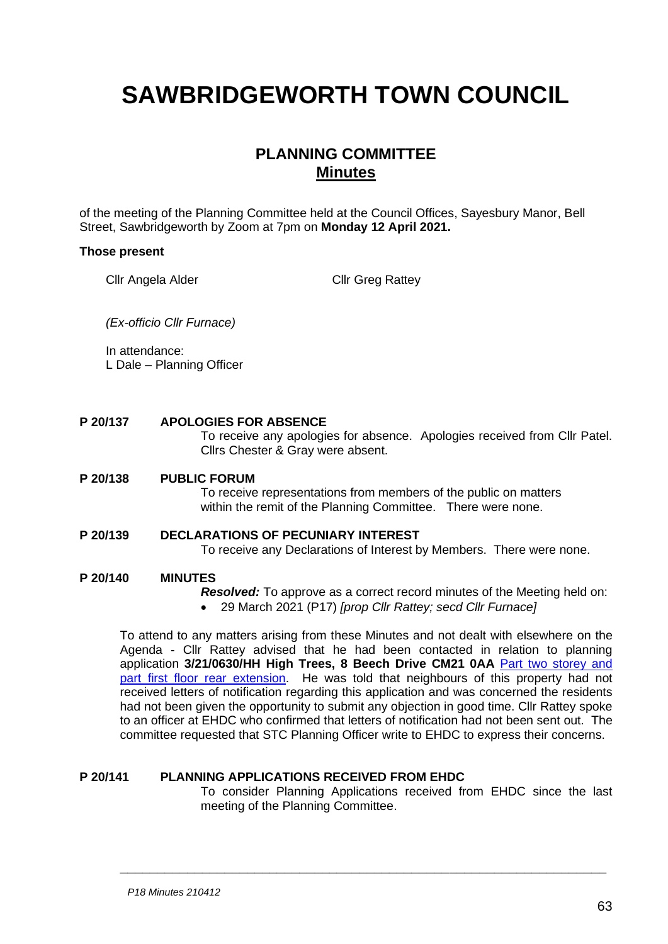# **SAWBRIDGEWORTH TOWN COUNCIL**

## **PLANNING COMMITTEE Minutes**

of the meeting of the Planning Committee held at the Council Offices, Sayesbury Manor, Bell Street, Sawbridgeworth by Zoom at 7pm on **Monday 12 April 2021.**

#### **Those present**

Cllr Angela Alder Cllr Greg Rattey

*(Ex-officio Cllr Furnace)*

In attendance: L Dale – Planning Officer

#### **P 20/137 APOLOGIES FOR ABSENCE**

To receive any apologies for absence. Apologies received from Cllr Patel. Cllrs Chester & Gray were absent.

#### **P 20/138 PUBLIC FORUM**

To receive representations from members of the public on matters within the remit of the Planning Committee. There were none.

## **P 20/139 DECLARATIONS OF PECUNIARY INTEREST**

To receive any Declarations of Interest by Members. There were none.

## **P 20/140 MINUTES**

*Resolved:* To approve as a correct record minutes of the Meeting held on: • 29 March 2021 (P17) *[prop Cllr Rattey; secd Cllr Furnace]*

To attend to any matters arising from these Minutes and not dealt with elsewhere on the Agenda - Cllr Rattey advised that he had been contacted in relation to planning application **3/21/0630/HH High Trees, 8 Beech Drive CM21 0AA** Part [two storey and](https://publicaccess.eastherts.gov.uk/online-applications/applicationDetails.do?activeTab=documents&keyVal=QPT02MGLLEW00)  [part first floor rear extension.](https://publicaccess.eastherts.gov.uk/online-applications/applicationDetails.do?activeTab=documents&keyVal=QPT02MGLLEW00) He was told that neighbours of this property had not received letters of notification regarding this application and was concerned the residents had not been given the opportunity to submit any objection in good time. Cllr Rattey spoke to an officer at EHDC who confirmed that letters of notification had not been sent out. The committee requested that STC Planning Officer write to EHDC to express their concerns.

**\_\_\_\_\_\_\_\_\_\_\_\_\_\_\_\_\_\_\_\_\_\_\_\_\_\_\_\_\_\_\_\_\_\_\_\_\_\_\_\_\_\_\_\_\_\_\_\_\_\_\_\_\_\_\_\_\_\_\_\_\_\_\_\_\_**

### **P 20/141 PLANNING APPLICATIONS RECEIVED FROM EHDC**

To consider Planning Applications received from EHDC since the last meeting of the Planning Committee.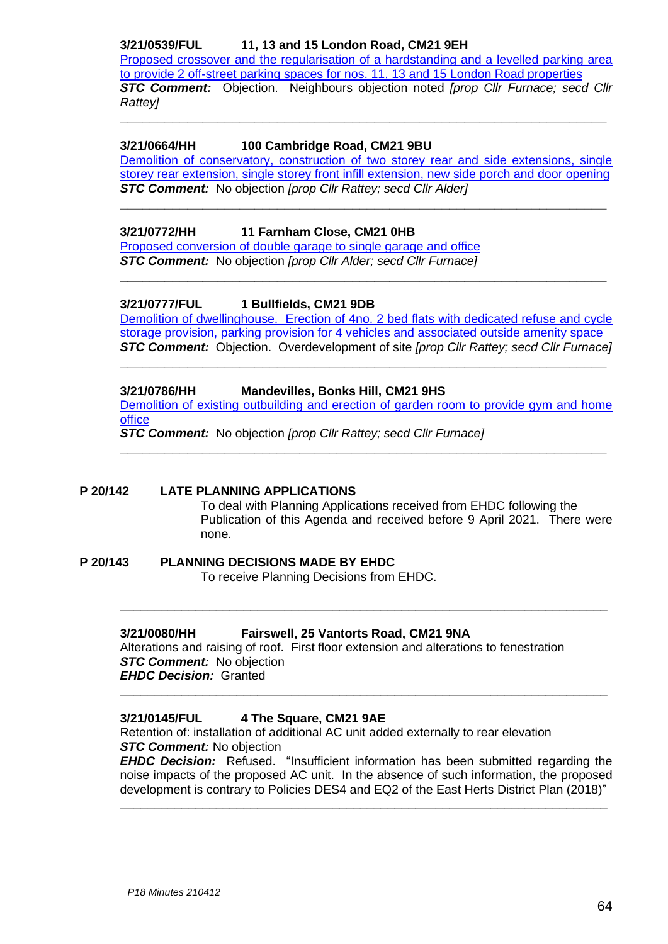## **3/21/0539/FUL 11, 13 and 15 London Road, CM21 9EH**

[Proposed crossover and the regularisation of a hardstanding and a levelled parking area](https://publicaccess.eastherts.gov.uk/online-applications/applicationDetails.do?keyVal=QPEHU2GLL8K00&activeTab=summary)  [to provide 2 off-street parking spaces for nos. 11, 13 and 15 London Road properties](https://publicaccess.eastherts.gov.uk/online-applications/applicationDetails.do?keyVal=QPEHU2GLL8K00&activeTab=summary) *STC Comment:* Objection. Neighbours objection noted *[prop Cllr Furnace; secd Cllr Rattey]*

**\_\_\_\_\_\_\_\_\_\_\_\_\_\_\_\_\_\_\_\_\_\_\_\_\_\_\_\_\_\_\_\_\_\_\_\_\_\_\_\_\_\_\_\_\_\_\_\_\_\_\_\_\_\_\_\_\_\_\_\_\_\_\_\_\_**

## **3/21/0664/HH 100 Cambridge Road, CM21 9BU**

[Demolition of conservatory, construction of two storey rear and side extensions, single](https://publicaccess.eastherts.gov.uk/online-applications/applicationDetails.do?activeTab=documents&keyVal=QQ0H9CGL00X00)  [storey rear extension, single storey front infill extension, new side porch and door opening](https://publicaccess.eastherts.gov.uk/online-applications/applicationDetails.do?activeTab=documents&keyVal=QQ0H9CGL00X00) *STC Comment:* No objection *[prop Cllr Rattey; secd Cllr Alder]*

**\_\_\_\_\_\_\_\_\_\_\_\_\_\_\_\_\_\_\_\_\_\_\_\_\_\_\_\_\_\_\_\_\_\_\_\_\_\_\_\_\_\_\_\_\_\_\_\_\_\_\_\_\_\_\_\_\_\_\_\_\_\_\_\_\_**

**\_\_\_\_\_\_\_\_\_\_\_\_\_\_\_\_\_\_\_\_\_\_\_\_\_\_\_\_\_\_\_\_\_\_\_\_\_\_\_\_\_\_\_\_\_\_\_\_\_\_\_\_\_\_\_\_\_\_\_\_\_\_\_\_\_**

## **3/21/0772/HH 11 Farnham Close, CM21 0HB**

[Proposed conversion of double garage to single garage and office](https://publicaccess.eastherts.gov.uk/online-applications/applicationDetails.do?activeTab=documents&keyVal=QQEX7FGLLOR00) *STC Comment:* No objection *[prop Cllr Alder; secd Cllr Furnace]*

### **3/21/0777/FUL 1 Bullfields, CM21 9DB**

Demolition of dwellinghouse. Erection [of 4no. 2 bed flats with dedicated refuse and cycle](https://publicaccess.eastherts.gov.uk/online-applications/applicationDetails.do?activeTab=documents&keyVal=QQF83IGLLP300)  [storage provision, parking provision for 4 vehicles and associated outside amenity space](https://publicaccess.eastherts.gov.uk/online-applications/applicationDetails.do?activeTab=documents&keyVal=QQF83IGLLP300) *STC Comment:* Objection. Overdevelopment of site *[prop Cllr Rattey; secd Cllr Furnace]*

**\_\_\_\_\_\_\_\_\_\_\_\_\_\_\_\_\_\_\_\_\_\_\_\_\_\_\_\_\_\_\_\_\_\_\_\_\_\_\_\_\_\_\_\_\_\_\_\_\_\_\_\_\_\_\_\_\_\_\_\_\_\_\_\_\_**

### **3/21/0786/HH Mandevilles, Bonks Hill, CM21 9HS**

[Demolition of existing outbuilding and erection of garden room to provide gym and home](https://publicaccess.eastherts.gov.uk/online-applications/applicationDetails.do?activeTab=documents&keyVal=QQH2R0GLLPP00)  [office](https://publicaccess.eastherts.gov.uk/online-applications/applicationDetails.do?activeTab=documents&keyVal=QQH2R0GLLPP00)

**\_\_\_\_\_\_\_\_\_\_\_\_\_\_\_\_\_\_\_\_\_\_\_\_\_\_\_\_\_\_\_\_\_\_\_\_\_\_\_\_\_\_\_\_\_\_\_\_\_\_\_\_\_\_\_\_\_\_\_\_\_\_\_\_\_**

*STC Comment:* No objection *[prop Cllr Rattey; secd Cllr Furnace]*

## **P 20/142 LATE PLANNING APPLICATIONS**

To deal with Planning Applications received from EHDC following the Publication of this Agenda and received before 9 April 2021. There were none.

#### **P 20/143 PLANNING DECISIONS MADE BY EHDC** To receive Planning Decisions from EHDC.

### **3/21/0080/HH Fairswell, 25 Vantorts Road, CM21 9NA**

Alterations and raising of roof. First floor extension and alterations to fenestration *STC Comment:* No objection *EHDC Decision:* Granted

**\_\_\_\_\_\_\_\_\_\_\_\_\_\_\_\_\_\_\_\_\_\_\_\_\_\_\_\_\_\_\_\_\_\_\_\_\_\_\_\_\_\_\_\_\_\_\_\_\_\_\_\_\_\_\_\_\_\_\_\_\_\_\_\_\_\_\_\_\_\_\_**

**\_\_\_\_\_\_\_\_\_\_\_\_\_\_\_\_\_\_\_\_\_\_\_\_\_\_\_\_\_\_\_\_\_\_\_\_\_\_\_\_\_\_\_\_\_\_\_\_\_\_\_\_\_\_\_\_\_\_\_\_\_\_\_\_\_\_\_\_\_\_\_**

### **3/21/0145/FUL 4 The Square, CM21 9AE**

Retention of: installation of additional AC unit added externally to rear elevation *STC Comment:* No objection

*EHDC Decision:* Refused. "Insufficient information has been submitted regarding the noise impacts of the proposed AC unit. In the absence of such information, the proposed development is contrary to Policies DES4 and EQ2 of the East Herts District Plan (2018)"

**\_\_\_\_\_\_\_\_\_\_\_\_\_\_\_\_\_\_\_\_\_\_\_\_\_\_\_\_\_\_\_\_\_\_\_\_\_\_\_\_\_\_\_\_\_\_\_\_\_\_\_\_\_\_\_\_\_\_\_\_\_\_\_\_\_\_\_\_\_\_\_**